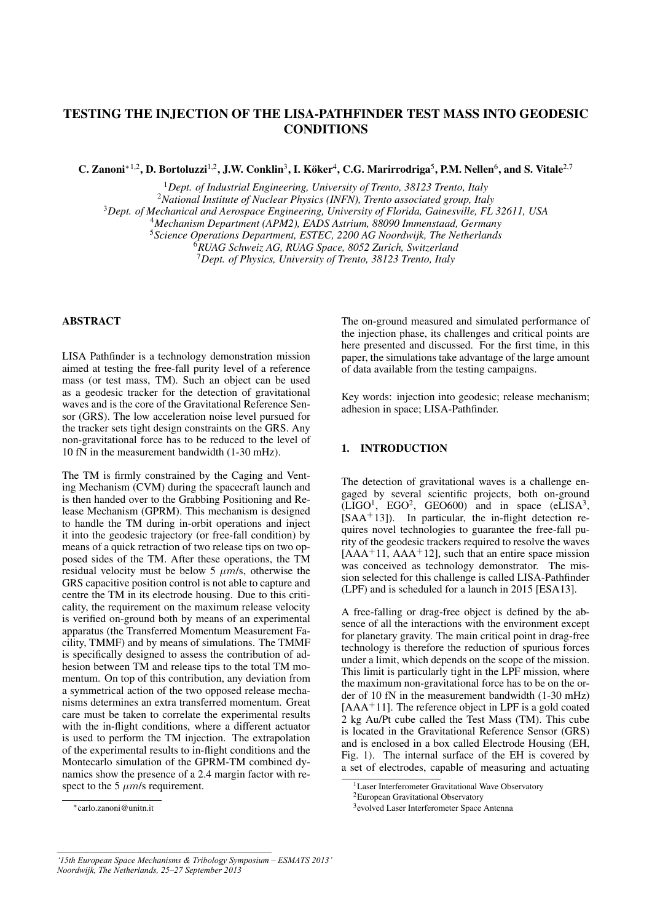# TESTING THE INJECTION OF THE LISA-PATHFINDER TEST MASS INTO GEODESIC **CONDITIONS**

C. Zanoni<sup>\*1,2</sup>, D. Bortoluzzi<sup>1,2</sup>, J.W. Conklin<sup>3</sup>, I. Köker<sup>4</sup>, C.G. Marirrodriga<sup>5</sup>, P.M. Nellen<sup>6</sup>, and S. Vitale<sup>2,7</sup>

*Dept. of Industrial Engineering, University of Trento, 38123 Trento, Italy National Institute of Nuclear Physics (INFN), Trento associated group, Italy Dept. of Mechanical and Aerospace Engineering, University of Florida, Gainesville, FL 32611, USA Mechanism Department (APM2), EADS Astrium, 88090 Immenstaad, Germany Science Operations Department, ESTEC, 2200 AG Noordwijk, The Netherlands RUAG Schweiz AG, RUAG Space, 8052 Zurich, Switzerland*

<sup>7</sup>*Dept. of Physics, University of Trento, 38123 Trento, Italy*

# ABSTRACT

LISA Pathfinder is a technology demonstration mission aimed at testing the free-fall purity level of a reference mass (or test mass, TM). Such an object can be used as a geodesic tracker for the detection of gravitational waves and is the core of the Gravitational Reference Sensor (GRS). The low acceleration noise level pursued for the tracker sets tight design constraints on the GRS. Any non-gravitational force has to be reduced to the level of 10 fN in the measurement bandwidth (1-30 mHz).

The TM is firmly constrained by the Caging and Venting Mechanism (CVM) during the spacecraft launch and is then handed over to the Grabbing Positioning and Release Mechanism (GPRM). This mechanism is designed to handle the TM during in-orbit operations and inject it into the geodesic trajectory (or free-fall condition) by means of a quick retraction of two release tips on two opposed sides of the TM. After these operations, the TM residual velocity must be below 5  $\mu$ m/s, otherwise the GRS capacitive position control is not able to capture and centre the TM in its electrode housing. Due to this criticality, the requirement on the maximum release velocity is verified on-ground both by means of an experimental apparatus (the Transferred Momentum Measurement Facility, TMMF) and by means of simulations. The TMMF is specifically designed to assess the contribution of adhesion between TM and release tips to the total TM momentum. On top of this contribution, any deviation from a symmetrical action of the two opposed release mechanisms determines an extra transferred momentum. Great care must be taken to correlate the experimental results with the in-flight conditions, where a different actuator is used to perform the TM injection. The extrapolation of the experimental results to in-flight conditions and the Montecarlo simulation of the GPRM-TM combined dynamics show the presence of a 2.4 margin factor with respect to the 5  $\mu$ m/s requirement.

The on-ground measured and simulated performance of the injection phase, its challenges and critical points are here presented and discussed. For the first time, in this paper, the simulations take advantage of the large amount of data available from the testing campaigns.

Key words: injection into geodesic; release mechanism; adhesion in space; LISA-Pathfinder.

## 1. INTRODUCTION

The detection of gravitational waves is a challenge engaged by several scientific projects, both on-ground  $(LIGO<sup>1</sup>, EGO<sup>2</sup>, GEO600)$  and in space (eLISA<sup>3</sup>, [SAA<sup>+</sup>13]). In particular, the in-flight detection requires novel technologies to guarantee the free-fall purity of the geodesic trackers required to resolve the waves  $[AAA<sup>+</sup>11, AAA<sup>+</sup>12]$ , such that an entire space mission was conceived as technology demonstrator. The mission selected for this challenge is called LISA-Pathfinder (LPF) and is scheduled for a launch in 2015 [ESA13].

A free-falling or drag-free object is defined by the absence of all the interactions with the environment except for planetary gravity. The main critical point in drag-free technology is therefore the reduction of spurious forces under a limit, which depends on the scope of the mission. This limit is particularly tight in the LPF mission, where the maximum non-gravitational force has to be on the order of 10 fN in the measurement bandwidth (1-30 mHz)  $[AAA^+11]$ . The reference object in LPF is a gold coated 2 kg Au/Pt cube called the Test Mass (TM). This cube is located in the Gravitational Reference Sensor (GRS) and is enclosed in a box called Electrode Housing (EH, Fig. 1). The internal surface of the EH is covered by a set of electrodes, capable of measuring and actuating

<sup>∗</sup>carlo.zanoni@unitn.it

<sup>&</sup>lt;sup>1</sup> Laser Interferometer Gravitational Wave Observatory

<sup>2</sup>European Gravitational Observatory

<sup>3</sup> evolved Laser Interferometer Space Antenna

*<sup>&#</sup>x27;15th European Space Mechanisms & Tribology Symposium – ESMATS 2013' Noordwijk, The Netherlands, 25–27 September 2013*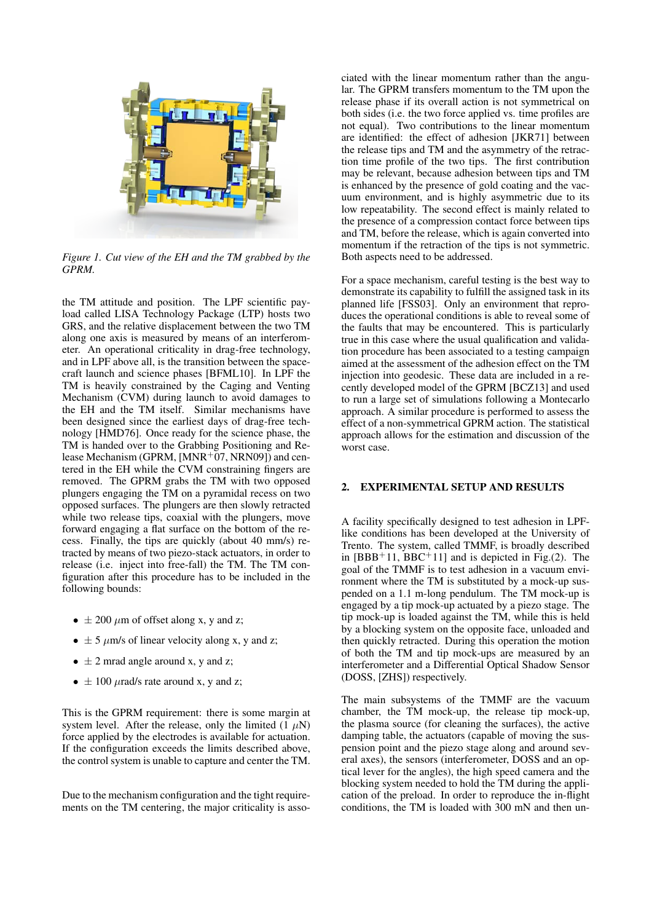

*Figure 1. Cut view of the EH and the TM grabbed by the GPRM.*

the TM attitude and position. The LPF scientific payload called LISA Technology Package (LTP) hosts two GRS, and the relative displacement between the two TM along one axis is measured by means of an interferometer. An operational criticality in drag-free technology, and in LPF above all, is the transition between the spacecraft launch and science phases [BFML10]. In LPF the TM is heavily constrained by the Caging and Venting Mechanism (CVM) during launch to avoid damages to the EH and the TM itself. Similar mechanisms have been designed since the earliest days of drag-free technology [HMD76]. Once ready for the science phase, the TM is handed over to the Grabbing Positioning and Release Mechanism (GPRM,  $[MNR+07, NRN09]$ ) and centered in the EH while the CVM constraining fingers are removed. The GPRM grabs the TM with two opposed plungers engaging the TM on a pyramidal recess on two opposed surfaces. The plungers are then slowly retracted while two release tips, coaxial with the plungers, move forward engaging a flat surface on the bottom of the recess. Finally, the tips are quickly (about 40 mm/s) retracted by means of two piezo-stack actuators, in order to release (i.e. inject into free-fall) the TM. The TM configuration after this procedure has to be included in the following bounds:

- $\pm 200 \ \mu m$  of offset along x, y and z;
- $\pm$  5  $\mu$ m/s of linear velocity along x, y and z;
- $\pm$  2 mrad angle around x, y and z;
- $\pm 100 \mu$ rad/s rate around x, y and z;

This is the GPRM requirement: there is some margin at system level. After the release, only the limited  $(1 \mu N)$ force applied by the electrodes is available for actuation. If the configuration exceeds the limits described above, the control system is unable to capture and center the TM.

Due to the mechanism configuration and the tight requirements on the TM centering, the major criticality is associated with the linear momentum rather than the angular. The GPRM transfers momentum to the TM upon the release phase if its overall action is not symmetrical on both sides (i.e. the two force applied vs. time profiles are not equal). Two contributions to the linear momentum are identified: the effect of adhesion [JKR71] between the release tips and TM and the asymmetry of the retraction time profile of the two tips. The first contribution may be relevant, because adhesion between tips and TM is enhanced by the presence of gold coating and the vacuum environment, and is highly asymmetric due to its low repeatability. The second effect is mainly related to the presence of a compression contact force between tips and TM, before the release, which is again converted into momentum if the retraction of the tips is not symmetric. Both aspects need to be addressed.

For a space mechanism, careful testing is the best way to demonstrate its capability to fulfill the assigned task in its planned life [FSS03]. Only an environment that reproduces the operational conditions is able to reveal some of the faults that may be encountered. This is particularly true in this case where the usual qualification and validation procedure has been associated to a testing campaign aimed at the assessment of the adhesion effect on the TM injection into geodesic. These data are included in a recently developed model of the GPRM [BCZ13] and used to run a large set of simulations following a Montecarlo approach. A similar procedure is performed to assess the effect of a non-symmetrical GPRM action. The statistical approach allows for the estimation and discussion of the worst case.

#### 2. EXPERIMENTAL SETUP AND RESULTS

A facility specifically designed to test adhesion in LPFlike conditions has been developed at the University of Trento. The system, called TMMF, is broadly described in  $[BBB<sup>+</sup>11, BBC<sup>+</sup>11]$  and is depicted in Fig.(2). The goal of the TMMF is to test adhesion in a vacuum environment where the TM is substituted by a mock-up suspended on a 1.1 m-long pendulum. The TM mock-up is engaged by a tip mock-up actuated by a piezo stage. The tip mock-up is loaded against the TM, while this is held by a blocking system on the opposite face, unloaded and then quickly retracted. During this operation the motion of both the TM and tip mock-ups are measured by an interferometer and a Differential Optical Shadow Sensor (DOSS, [ZHS]) respectively.

The main subsystems of the TMMF are the vacuum chamber, the TM mock-up, the release tip mock-up, the plasma source (for cleaning the surfaces), the active damping table, the actuators (capable of moving the suspension point and the piezo stage along and around several axes), the sensors (interferometer, DOSS and an optical lever for the angles), the high speed camera and the blocking system needed to hold the TM during the application of the preload. In order to reproduce the in-flight conditions, the TM is loaded with 300 mN and then un-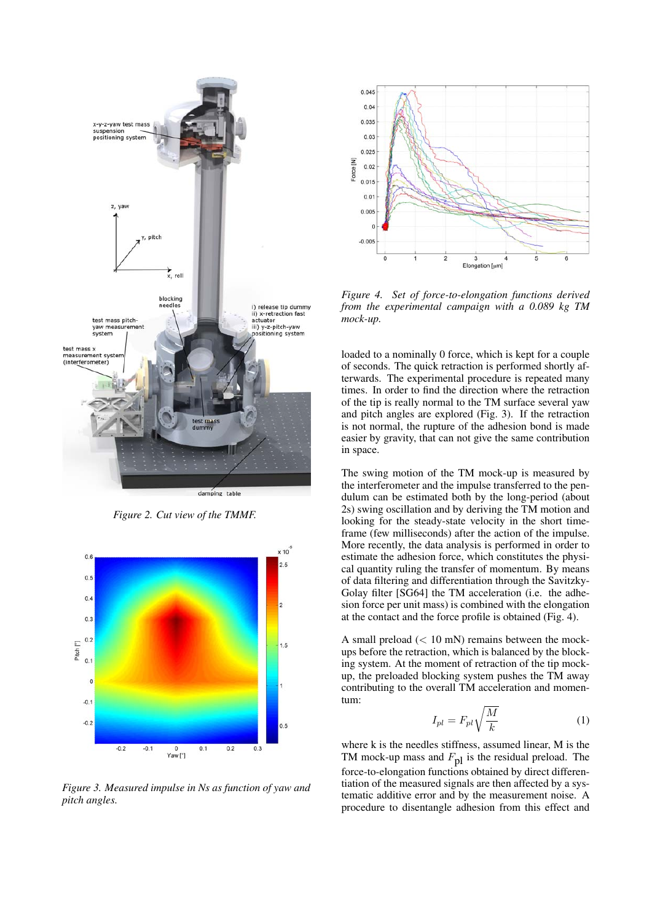

*Figure 2. Cut view of the TMMF.*



*Figure 3. Measured impulse in Ns as function of yaw and pitch angles.*



*Figure 4. Set of force-to-elongation functions derived from the experimental campaign with a 0.089 kg TM mock-up.*

loaded to a nominally 0 force, which is kept for a couple of seconds. The quick retraction is performed shortly afterwards. The experimental procedure is repeated many times. In order to find the direction where the retraction of the tip is really normal to the TM surface several yaw and pitch angles are explored (Fig. 3). If the retraction is not normal, the rupture of the adhesion bond is made easier by gravity, that can not give the same contribution in space.

The swing motion of the TM mock-up is measured by the interferometer and the impulse transferred to the pendulum can be estimated both by the long-period (about 2s) swing oscillation and by deriving the TM motion and looking for the steady-state velocity in the short timeframe (few milliseconds) after the action of the impulse. More recently, the data analysis is performed in order to estimate the adhesion force, which constitutes the physical quantity ruling the transfer of momentum. By means of data filtering and differentiation through the Savitzky-Golay filter [SG64] the TM acceleration (i.e. the adhesion force per unit mass) is combined with the elongation at the contact and the force profile is obtained (Fig. 4).

A small preload (< 10 mN) remains between the mockups before the retraction, which is balanced by the blocking system. At the moment of retraction of the tip mockup, the preloaded blocking system pushes the TM away contributing to the overall TM acceleration and momentum:

$$
I_{pl} = F_{pl} \sqrt{\frac{M}{k}} \tag{1}
$$

where k is the needles stiffness, assumed linear, M is the TM mock-up mass and  $F_{\text{pl}}$  is the residual preload. The force-to-elongation functions obtained by direct differentiation of the measured signals are then affected by a systematic additive error and by the measurement noise. A procedure to disentangle adhesion from this effect and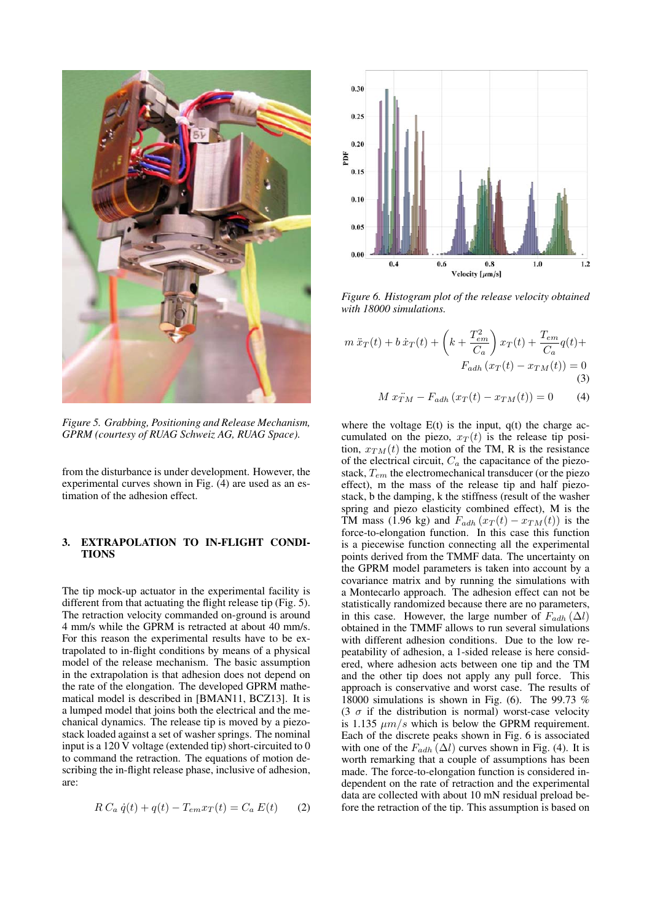

*Figure 5. Grabbing, Positioning and Release Mechanism, GPRM (courtesy of RUAG Schweiz AG, RUAG Space).*

from the disturbance is under development. However, the experimental curves shown in Fig. (4) are used as an estimation of the adhesion effect.

### 3. EXTRAPOLATION TO IN-FLIGHT CONDI-**TIONS**

The tip mock-up actuator in the experimental facility is different from that actuating the flight release tip (Fig. 5). The retraction velocity commanded on-ground is around 4 mm/s while the GPRM is retracted at about 40 mm/s. For this reason the experimental results have to be extrapolated to in-flight conditions by means of a physical model of the release mechanism. The basic assumption in the extrapolation is that adhesion does not depend on the rate of the elongation. The developed GPRM mathematical model is described in [BMAN11, BCZ13]. It is a lumped model that joins both the electrical and the mechanical dynamics. The release tip is moved by a piezostack loaded against a set of washer springs. The nominal input is a 120 V voltage (extended tip) short-circuited to 0 to command the retraction. The equations of motion describing the in-flight release phase, inclusive of adhesion, are:

$$
R C_a \dot{q}(t) + q(t) - T_{em} x_T(t) = C_a E(t) \qquad (2)
$$



*Figure 6. Histogram plot of the release velocity obtained with 18000 simulations.*

$$
m \ddot{x}_T(t) + b \dot{x}_T(t) + \left(k + \frac{T_{em}^2}{C_a}\right) x_T(t) + \frac{T_{em}}{C_a} q(t) +
$$
  
\n
$$
F_{adh} (x_T(t) - x_{TM}(t)) = 0
$$
  
\n(3)  
\n
$$
M x_{TM}^2 - F_{adh} (x_T(t) - x_{TM}(t)) = 0
$$
 (4)

where the voltage  $E(t)$  is the input,  $q(t)$  the charge accumulated on the piezo,  $x_T(t)$  is the release tip position,  $x_{TM}(t)$  the motion of the TM, R is the resistance of the electrical circuit,  $C_a$  the capacitance of the piezostack,  $T_{em}$  the electromechanical transducer (or the piezo effect), m the mass of the release tip and half piezostack, b the damping, k the stiffness (result of the washer spring and piezo elasticity combined effect), M is the TM mass (1.96 kg) and  $F_{adh}$  ( $x_T(t) - x_{TM}(t)$ ) is the force-to-elongation function. In this case this function is a piecewise function connecting all the experimental points derived from the TMMF data. The uncertainty on the GPRM model parameters is taken into account by a covariance matrix and by running the simulations with a Montecarlo approach. The adhesion effect can not be statistically randomized because there are no parameters, in this case. However, the large number of  $F_{adh}(\Delta l)$ obtained in the TMMF allows to run several simulations with different adhesion conditions. Due to the low repeatability of adhesion, a 1-sided release is here considered, where adhesion acts between one tip and the TM and the other tip does not apply any pull force. This approach is conservative and worst case. The results of 18000 simulations is shown in Fig. (6). The 99.73 % (3  $\sigma$  if the distribution is normal) worst-case velocity is 1.135  $\mu$ m/s which is below the GPRM requirement. Each of the discrete peaks shown in Fig. 6 is associated with one of the  $F_{adh}(\Delta l)$  curves shown in Fig. (4). It is worth remarking that a couple of assumptions has been made. The force-to-elongation function is considered independent on the rate of retraction and the experimental data are collected with about 10 mN residual preload before the retraction of the tip. This assumption is based on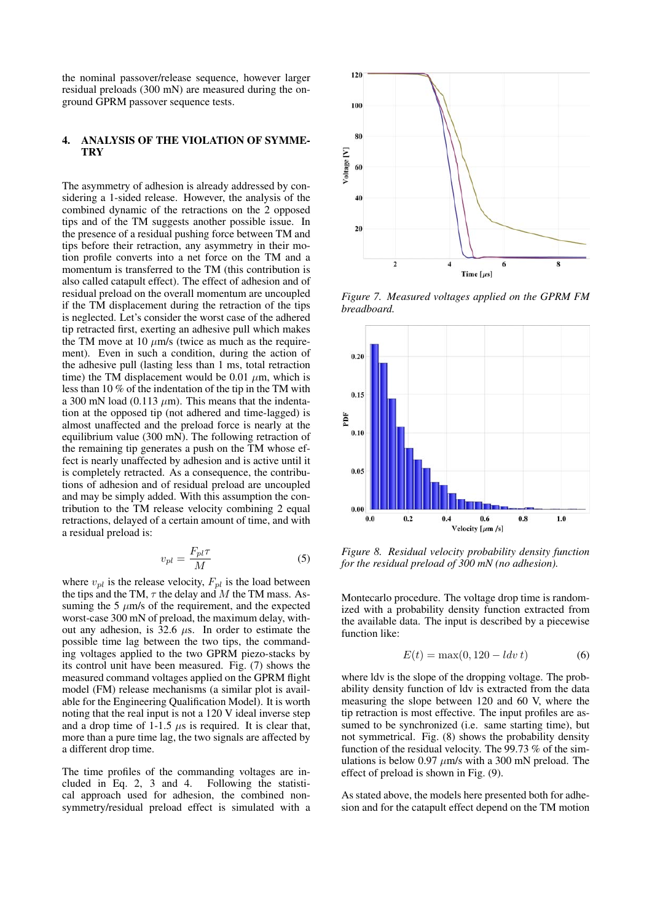the nominal passover/release sequence, however larger residual preloads (300 mN) are measured during the onground GPRM passover sequence tests.

#### 4. ANALYSIS OF THE VIOLATION OF SYMME-**TRY**

The asymmetry of adhesion is already addressed by considering a 1-sided release. However, the analysis of the combined dynamic of the retractions on the 2 opposed tips and of the TM suggests another possible issue. In the presence of a residual pushing force between TM and tips before their retraction, any asymmetry in their motion profile converts into a net force on the TM and a momentum is transferred to the TM (this contribution is also called catapult effect). The effect of adhesion and of residual preload on the overall momentum are uncoupled if the TM displacement during the retraction of the tips is neglected. Let's consider the worst case of the adhered tip retracted first, exerting an adhesive pull which makes the TM move at 10  $\mu$ m/s (twice as much as the requirement). Even in such a condition, during the action of the adhesive pull (lasting less than 1 ms, total retraction time) the TM displacement would be 0.01  $\mu$ m, which is less than 10 % of the indentation of the tip in the TM with a 300 mN load (0.113  $\mu$ m). This means that the indentation at the opposed tip (not adhered and time-lagged) is almost unaffected and the preload force is nearly at the equilibrium value (300 mN). The following retraction of the remaining tip generates a push on the TM whose effect is nearly unaffected by adhesion and is active until it is completely retracted. As a consequence, the contributions of adhesion and of residual preload are uncoupled and may be simply added. With this assumption the contribution to the TM release velocity combining 2 equal retractions, delayed of a certain amount of time, and with a residual preload is:

$$
v_{pl} = \frac{F_{pl}\tau}{M} \tag{5}
$$

where  $v_{pl}$  is the release velocity,  $F_{pl}$  is the load between the tips and the TM,  $\tau$  the delay and M the TM mass. Assuming the 5  $\mu$ m/s of the requirement, and the expected worst-case 300 mN of preload, the maximum delay, without any adhesion, is 32.6  $\mu$ s. In order to estimate the possible time lag between the two tips, the commanding voltages applied to the two GPRM piezo-stacks by its control unit have been measured. Fig. (7) shows the measured command voltages applied on the GPRM flight model (FM) release mechanisms (a similar plot is available for the Engineering Qualification Model). It is worth noting that the real input is not a 120 V ideal inverse step and a drop time of  $1-1.5 \mu s$  is required. It is clear that, more than a pure time lag, the two signals are affected by a different drop time.

The time profiles of the commanding voltages are included in Eq. 2, 3 and 4. Following the statistical approach used for adhesion, the combined nonsymmetry/residual preload effect is simulated with a



*Figure 7. Measured voltages applied on the GPRM FM breadboard.*



*Figure 8. Residual velocity probability density function for the residual preload of 300 mN (no adhesion).*

Montecarlo procedure. The voltage drop time is randomized with a probability density function extracted from the available data. The input is described by a piecewise function like:

$$
E(t) = \max(0, 120 - \ldots \, dt) \tag{6}
$$

where ldv is the slope of the dropping voltage. The probability density function of ldv is extracted from the data measuring the slope between 120 and 60 V, where the tip retraction is most effective. The input profiles are assumed to be synchronized (i.e. same starting time), but not symmetrical. Fig. (8) shows the probability density function of the residual velocity. The 99.73 % of the simulations is below 0.97  $\mu$ m/s with a 300 mN preload. The effect of preload is shown in Fig. (9).

As stated above, the models here presented both for adhesion and for the catapult effect depend on the TM motion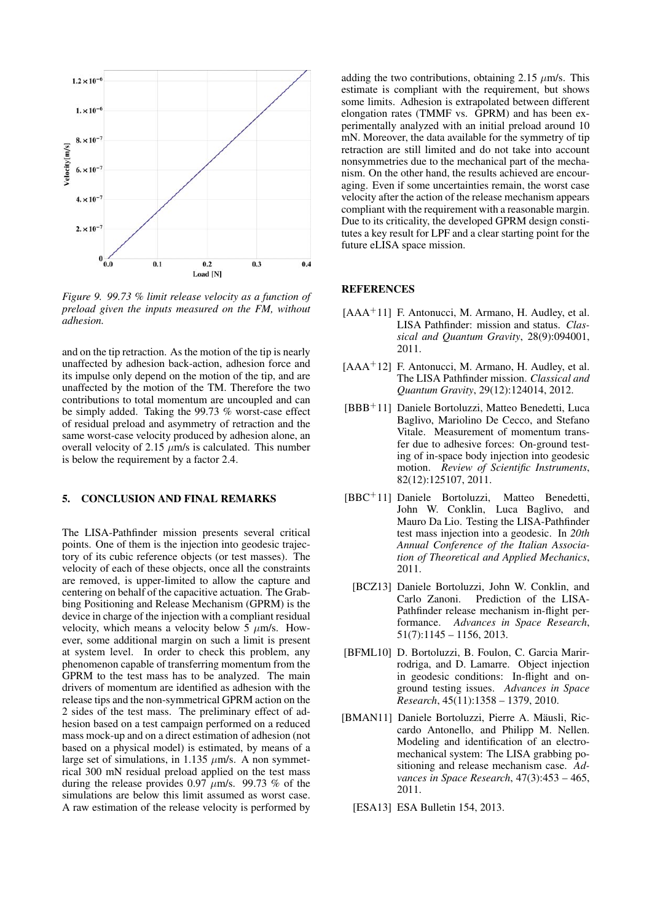

*Figure 9. 99.73 % limit release velocity as a function of preload given the inputs measured on the FM, without adhesion.*

and on the tip retraction. As the motion of the tip is nearly unaffected by adhesion back-action, adhesion force and its impulse only depend on the motion of the tip, and are unaffected by the motion of the TM. Therefore the two contributions to total momentum are uncoupled and can be simply added. Taking the 99.73 % worst-case effect of residual preload and asymmetry of retraction and the same worst-case velocity produced by adhesion alone, an overall velocity of 2.15  $\mu$ m/s is calculated. This number is below the requirement by a factor 2.4.

# 5. CONCLUSION AND FINAL REMARKS

The LISA-Pathfinder mission presents several critical points. One of them is the injection into geodesic trajectory of its cubic reference objects (or test masses). The velocity of each of these objects, once all the constraints are removed, is upper-limited to allow the capture and centering on behalf of the capacitive actuation. The Grabbing Positioning and Release Mechanism (GPRM) is the device in charge of the injection with a compliant residual velocity, which means a velocity below  $5 \mu$ m/s. However, some additional margin on such a limit is present at system level. In order to check this problem, any phenomenon capable of transferring momentum from the GPRM to the test mass has to be analyzed. The main drivers of momentum are identified as adhesion with the release tips and the non-symmetrical GPRM action on the 2 sides of the test mass. The preliminary effect of adhesion based on a test campaign performed on a reduced mass mock-up and on a direct estimation of adhesion (not based on a physical model) is estimated, by means of a large set of simulations, in 1.135  $\mu$ m/s. A non symmetrical 300 mN residual preload applied on the test mass during the release provides 0.97  $\mu$ m/s. 99.73 % of the simulations are below this limit assumed as worst case. A raw estimation of the release velocity is performed by

adding the two contributions, obtaining 2.15  $\mu$ m/s. This estimate is compliant with the requirement, but shows some limits. Adhesion is extrapolated between different elongation rates (TMMF vs. GPRM) and has been experimentally analyzed with an initial preload around 10 mN. Moreover, the data available for the symmetry of tip retraction are still limited and do not take into account nonsymmetries due to the mechanical part of the mechanism. On the other hand, the results achieved are encouraging. Even if some uncertainties remain, the worst case velocity after the action of the release mechanism appears compliant with the requirement with a reasonable margin. Due to its criticality, the developed GPRM design constitutes a key result for LPF and a clear starting point for the future eLISA space mission.

#### **REFERENCES**

- [AAA<sup>+</sup>11] F. Antonucci, M. Armano, H. Audley, et al. LISA Pathfinder: mission and status. *Classical and Quantum Gravity*, 28(9):094001, 2011.
- [AAA<sup>+</sup>12] F. Antonucci, M. Armano, H. Audley, et al. The LISA Pathfinder mission. *Classical and Quantum Gravity*, 29(12):124014, 2012.
- [BBB<sup>+</sup>11] Daniele Bortoluzzi, Matteo Benedetti, Luca Baglivo, Mariolino De Cecco, and Stefano Vitale. Measurement of momentum transfer due to adhesive forces: On-ground testing of in-space body injection into geodesic motion. *Review of Scientific Instruments*, 82(12):125107, 2011.
- [BBC<sup>+</sup>11] Daniele Bortoluzzi, Matteo Benedetti, John W. Conklin, Luca Baglivo, and Mauro Da Lio. Testing the LISA-Pathfinder test mass injection into a geodesic. In *20th Annual Conference of the Italian Association of Theoretical and Applied Mechanics*, 2011.
	- [BCZ13] Daniele Bortoluzzi, John W. Conklin, and Carlo Zanoni. Prediction of the LISA-Pathfinder release mechanism in-flight performance. *Advances in Space Research*,  $51(7):1145 - 1156, 2013.$
- [BFML10] D. Bortoluzzi, B. Foulon, C. Garcia Marirrodriga, and D. Lamarre. Object injection in geodesic conditions: In-flight and onground testing issues. *Advances in Space Research*, 45(11):1358 – 1379, 2010.
- [BMAN11] Daniele Bortoluzzi, Pierre A. Mäusli, Riccardo Antonello, and Philipp M. Nellen. Modeling and identification of an electromechanical system: The LISA grabbing positioning and release mechanism case. *Advances in Space Research*, 47(3):453 – 465, 2011.
	- [ESA13] ESA Bulletin 154, 2013.